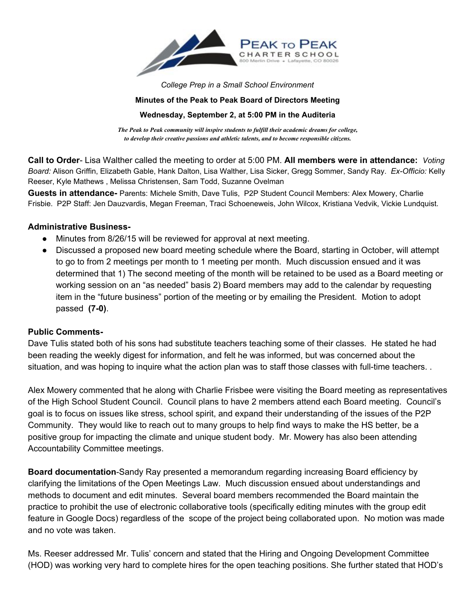

*College Prep in a Small School Environment*

#### **Minutes of the Peak to Peak Board of Directors Meeting**

### **Wednesday, September 2, at 5:00 PM in the Auditeria**

*The Peak to Peak community will inspire students to fulfill their academic dreams for college, to develop their creative passions and athletic talents, and to become responsible citizens.*

**Call to Order** Lisa Walther called the meeting to order at 5:00 PM. **All members were in attendance:** *Voting Board: Alison Griffin, Elizabeth Gable, Hank Dalton, Lisa Walther, Lisa Sicker, Gregg Sommer, Sandy Ray. Ex-Officio: Kelly* Reeser, Kyle Mathews , Melissa Christensen, Sam Todd, Suzanne Ovelman

Guests in attendance- Parents: Michele Smith, Dave Tulis, P2P Student Council Members: Alex Mowery, Charlie Frisbie. P2P Staff: Jen Dauzvardis, Megan Freeman, Traci Schoeneweis, John Wilcox, Kristiana Vedvik, Vickie Lundquist.

### **Administrative Business**

- Minutes from 8/26/15 will be reviewed for approval at next meeting.
- Discussed a proposed new board meeting schedule where the Board, starting in October, will attempt to go to from 2 meetings per month to 1 meeting per month. Much discussion ensued and it was determined that 1) The second meeting of the month will be retained to be used as a Board meeting or working session on an "as needed" basis 2) Board members may add to the calendar by requesting item in the "future business" portion of the meeting or by emailing the President. Motion to adopt passed **(70)**.

## **Public Comments-**

Dave Tulis stated both of his sons had substitute teachers teaching some of their classes. He stated he had been reading the weekly digest for information, and felt he was informed, but was concerned about the situation, and was hoping to inquire what the action plan was to staff those classes with full-time teachers. .

Alex Mowery commented that he along with Charlie Frisbee were visiting the Board meeting as representatives of the High School Student Council. Council plans to have 2 members attend each Board meeting. Council's goal is to focus on issues like stress, school spirit, and expand their understanding of the issues of the P2P Community. They would like to reach out to many groups to help find ways to make the HS better, be a positive group for impacting the climate and unique student body. Mr. Mowery has also been attending Accountability Committee meetings.

**Board documentation**-Sandy Ray presented a memorandum regarding increasing Board efficiency by clarifying the limitations of the Open Meetings Law. Much discussion ensued about understandings and methods to document and edit minutes. Several board members recommended the Board maintain the practice to prohibit the use of electronic collaborative tools (specifically editing minutes with the group edit feature in Google Docs) regardless of the scope of the project being collaborated upon. No motion was made and no vote was taken.

Ms. Reeser addressed Mr. Tulis' concern and stated that the Hiring and Ongoing Development Committee (HOD) was working very hard to complete hires for the open teaching positions. She further stated that HOD's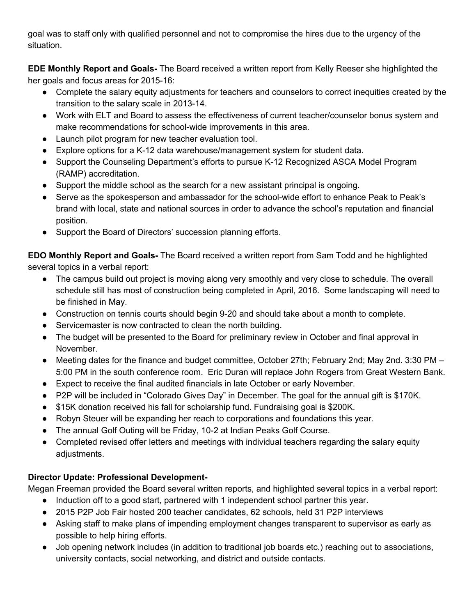goal was to staff only with qualified personnel and not to compromise the hires due to the urgency of the situation.

**EDE Monthly Report and Goals** The Board received a written report from Kelly Reeser she highlighted the her goals and focus areas for 2015-16:

- Complete the salary equity adjustments for teachers and counselors to correct inequities created by the transition to the salary scale in 2013-14.
- Work with ELT and Board to assess the effectiveness of current teacher/counselor bonus system and make recommendations for school-wide improvements in this area.
- Launch pilot program for new teacher evaluation tool.
- Explore options for a K-12 data warehouse/management system for student data.
- Support the Counseling Department's efforts to pursue K-12 Recognized ASCA Model Program (RAMP) accreditation.
- Support the middle school as the search for a new assistant principal is ongoing.
- Serve as the spokesperson and ambassador for the school-wide effort to enhance Peak to Peak's brand with local, state and national sources in order to advance the school's reputation and financial position.
- Support the Board of Directors' succession planning efforts.

**EDO** Monthly Report and Goals- The Board received a written report from Sam Todd and he highlighted several topics in a verbal report:

- The campus build out project is moving along very smoothly and very close to schedule. The overall schedule still has most of construction being completed in April, 2016. Some landscaping will need to be finished in May.
- Construction on tennis courts should begin 920 and should take about a month to complete.
- Servicemaster is now contracted to clean the north building.
- The budget will be presented to the Board for preliminary review in October and final approval in November.
- Meeting dates for the finance and budget committee, October 27th; February 2nd; May 2nd. 3:30 PM 5:00 PM in the south conference room. Eric Duran will replace John Rogers from Great Western Bank.
- Expect to receive the final audited financials in late October or early November.
- P2P will be included in "Colorado Gives Day" in December. The goal for the annual gift is \$170K.
- \$15K donation received his fall for scholarship fund. Fundraising goal is \$200K.
- Robyn Steuer will be expanding her reach to corporations and foundations this year.
- The annual Golf Outing will be Friday, 10-2 at Indian Peaks Golf Course.
- Completed revised offer letters and meetings with individual teachers regarding the salary equity adjustments.

# **Director Update: Professional Development-**

Megan Freeman provided the Board several written reports, and highlighted several topics in a verbal report:

- Induction off to a good start, partnered with 1 independent school partner this year.
- 2015 P2P Job Fair hosted 200 teacher candidates, 62 schools, held 31 P2P interviews
- Asking staff to make plans of impending employment changes transparent to supervisor as early as possible to help hiring efforts.
- Job opening network includes (in addition to traditional job boards etc.) reaching out to associations, university contacts, social networking, and district and outside contacts.